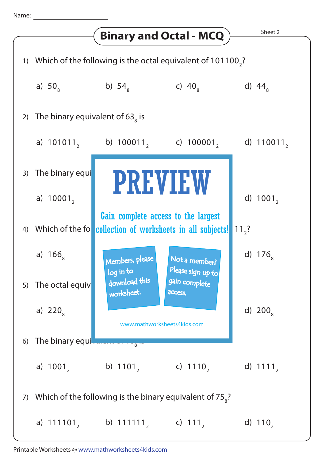